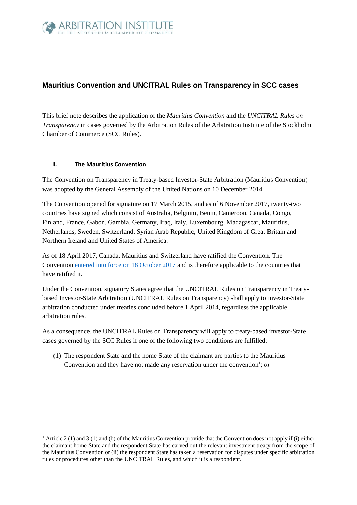

# **Mauritius Convention and UNCITRAL Rules on Transparency in SCC cases**

This brief note describes the application of the *Mauritius Convention* and the *UNCITRAL Rules on Transparency* in cases governed by the Arbitration Rules of the Arbitration Institute of the Stockholm Chamber of Commerce (SCC Rules).

#### **I. The Mauritius Convention**

-

The Convention on Transparency in Treaty-based Investor-State Arbitration (Mauritius Convention) was adopted by the General Assembly of the United Nations on 10 December 2014.

The Convention opened for signature on 17 March 2015, and as of 6 November 2017, twenty-two countries have signed which consist of Australia, Belgium, Benin, Cameroon, Canada, Congo, Finland, France, Gabon, Gambia, Germany, Iraq, Italy, Luxembourg, Madagascar, Mauritius, Netherlands, Sweden, Switzerland, Syrian Arab Republic, United Kingdom of Great Britain and Northern Ireland and United States of America.

As of 18 April 2017, Canada, Mauritius and Switzerland have ratified the Convention. The Convention [entered into force on 18 October 2017](http://www.uncitral.org/uncitral/en/uncitral_texts/arbitration/2014Transparency_Convention_status.html) and is therefore applicable to the countries that have ratified it.

Under the Convention, signatory States agree that the UNCITRAL Rules on Transparency in Treatybased Investor-State Arbitration (UNCITRAL Rules on Transparency) shall apply to investor-State arbitration conducted under treaties concluded before 1 April 2014, regardless the applicable arbitration rules.

As a consequence, the UNCITRAL Rules on Transparency will apply to treaty-based investor-State cases governed by the SCC Rules if one of the following two conditions are fulfilled:

(1) The respondent State and the home State of the claimant are parties to the Mauritius Convention and they have not made any reservation under the convention<sup>1</sup>; or

<sup>&</sup>lt;sup>1</sup> Article 2 (1) and 3 (1) and (b) of the Mauritius Convention provide that the Convention does not apply if (i) either the claimant home State and the respondent State has carved out the relevant investment treaty from the scope of the Mauritius Convention or (ii) the respondent State has taken a reservation for disputes under specific arbitration rules or procedures other than the UNCITRAL Rules, and which it is a respondent.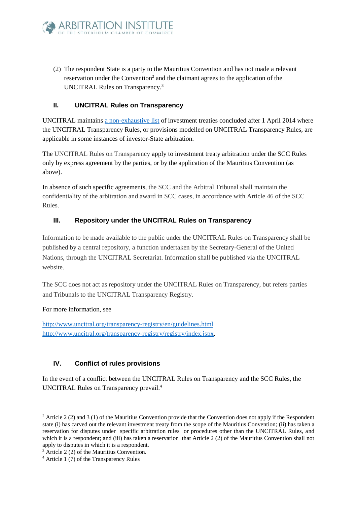

(2) The respondent State is a party to the Mauritius Convention and has not made a relevant reservation under the Convention<sup>2</sup> and the claimant agrees to the application of the UNCITRAL Rules on Transparency.<sup>3</sup>

#### **II. UNCITRAL Rules on Transparency**

UNCITRAL maintain[s a non-exhaustive list](http://www.uncitral.org/uncitral/en/uncitral_texts/arbitration/2014Transparency_Rules_status.html) of investment treaties concluded after 1 April 2014 where the UNCITRAL Transparency Rules, or provisions modelled on UNCITRAL Transparency Rules, are applicable in some instances of investor-State arbitration.

The UNCITRAL Rules on Transparency apply to investment treaty arbitration under the SCC Rules only by express agreement by the parties, or by the application of the Mauritius Convention (as above).

In absence of such specific agreements, the SCC and the Arbitral Tribunal shall maintain the confidentiality of the arbitration and award in SCC cases, in accordance with Article 46 of the SCC Rules.

## **III. Repository under the UNCITRAL Rules on Transparency**

Information to be made available to the public under the UNCITRAL Rules on Transparency shall be published by a central repository, a function undertaken by the Secretary-General of the United Nations, through the UNCITRAL Secretariat. Information shall be published via the UNCITRAL website.

The SCC does not act as repository under the UNCITRAL Rules on Transparency, but refers parties and Tribunals to the UNCITRAL Transparency Registry.

#### For more information, see

-

<http://www.uncitral.org/transparency-registry/en/guidelines.html> [http://www.uncitral.org/transparency-registry/registry/index.jspx.](http://www.uncitral.org/transparency-registry/registry/index.jspx)

## **IV. Conflict of rules provisions**

In the event of a conflict between the UNCITRAL Rules on Transparency and the SCC Rules, the UNCITRAL Rules on Transparency prevail. 4

<sup>&</sup>lt;sup>2</sup> Article 2 (2) and 3 (1) of the Mauritius Convention provide that the Convention does not apply if the Respondent state (i) has carved out the relevant investment treaty from the scope of the Mauritius Convention; (ii) has taken a reservation for disputes under specific arbitration rules or procedures other than the UNCITRAL Rules, and which it is a respondent; and (iii) has taken a reservation that Article 2 (2) of the Mauritius Convention shall not apply to disputes in which it is a respondent.

<sup>3</sup> Article 2 (2) of the Mauritius Convention.

<sup>4</sup> Article 1 (7) of the Transparency Rules